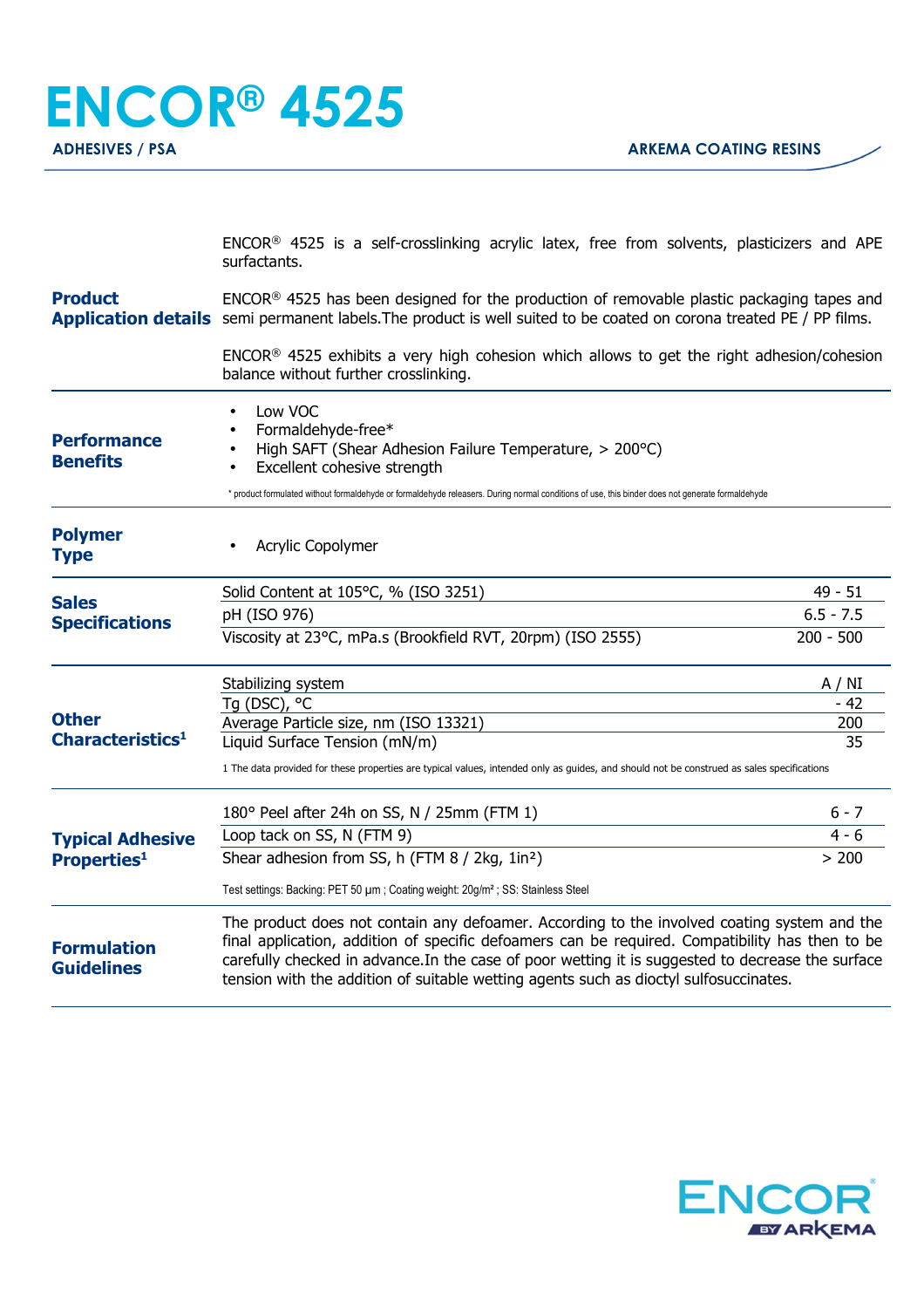**ENCOR® 4525 ADHESIVES / PSA ARKEMA COATING RESINS** 

> ENCOR® 4525 is a self-crosslinking acrylic latex, free from solvents, plasticizers and APE surfactants.

**Product Application details** semi permanent labels. The product is well suited to be coated on corona treated PE / PP films. ENCOR® 4525 has been designed for the production of removable plastic packaging tapes and

> ENCOR® 4525 exhibits a very high cohesion which allows to get the right adhesion/cohesion balance without further crosslinking.

| <b>Performance</b><br><b>Benefits</b>         | Low VOC<br>Formaldehyde-free*<br>High SAFT (Shear Adhesion Failure Temperature, > 200°C)<br>Excellent cohesive strength<br>* product formulated without formaldehyde or formaldehyde releasers. During normal conditions of use, this binder does not generate formaldehyde                                                                                                                  |             |
|-----------------------------------------------|----------------------------------------------------------------------------------------------------------------------------------------------------------------------------------------------------------------------------------------------------------------------------------------------------------------------------------------------------------------------------------------------|-------------|
| <b>Polymer</b><br><b>Type</b>                 | Acrylic Copolymer                                                                                                                                                                                                                                                                                                                                                                            |             |
| <b>Sales</b><br><b>Specifications</b>         | Solid Content at 105°C, % (ISO 3251)                                                                                                                                                                                                                                                                                                                                                         | $49 - 51$   |
|                                               | pH (ISO 976)                                                                                                                                                                                                                                                                                                                                                                                 | $6.5 - 7.5$ |
|                                               | Viscosity at 23°C, mPa.s (Brookfield RVT, 20rpm) (ISO 2555)                                                                                                                                                                                                                                                                                                                                  | $200 - 500$ |
| <b>Other</b><br>Characteristics <sup>1</sup>  | Stabilizing system                                                                                                                                                                                                                                                                                                                                                                           | A / NI      |
|                                               | Tg (DSC), °C                                                                                                                                                                                                                                                                                                                                                                                 | - 42        |
|                                               | Average Particle size, nm (ISO 13321)                                                                                                                                                                                                                                                                                                                                                        | 200         |
|                                               | Liquid Surface Tension (mN/m)                                                                                                                                                                                                                                                                                                                                                                | 35          |
|                                               | 1 The data provided for these properties are typical values, intended only as guides, and should not be construed as sales specifications                                                                                                                                                                                                                                                    |             |
| <b>Typical Adhesive</b><br><b>Properties1</b> | 180° Peel after 24h on SS, N / 25mm (FTM 1)                                                                                                                                                                                                                                                                                                                                                  | $6 - 7$     |
|                                               | Loop tack on SS, N (FTM 9)                                                                                                                                                                                                                                                                                                                                                                   | $4 - 6$     |
|                                               | Shear adhesion from SS, h (FTM 8 / 2kg, 1in <sup>2</sup> )                                                                                                                                                                                                                                                                                                                                   | > 200       |
|                                               | Test settings: Backing: PET 50 µm; Coating weight: 20g/m <sup>2</sup> ; SS: Stainless Steel                                                                                                                                                                                                                                                                                                  |             |
| <b>Formulation</b><br><b>Guidelines</b>       | The product does not contain any defoamer. According to the involved coating system and the<br>final application, addition of specific defoamers can be required. Compatibility has then to be<br>carefully checked in advance. In the case of poor wetting it is suggested to decrease the surface<br>tension with the addition of suitable wetting agents such as dioctyl sulfosuccinates. |             |